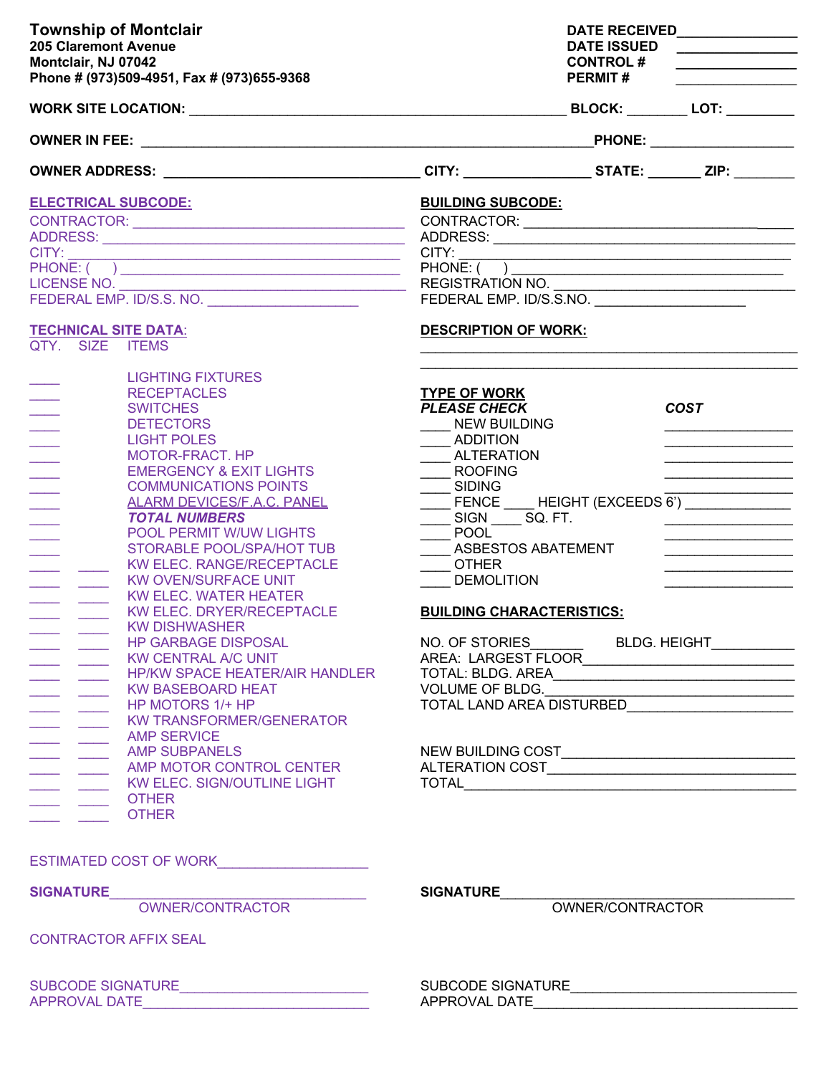| <b>Township of Montclair</b><br><b>205 Claremont Avenue</b><br>Montclair, NJ 07042<br>Phone # (973)509-4951, Fax # (973)655-9368                                                                                                                                                                                                                                                                                                                                                                                                                                                                                                                                                                                                                                                                                                                                  | <b>DATE ISSUED</b><br><b>CONTROL#</b><br><b>PERMIT#</b>                                                                                                                                                                                                                                                                                                                                  | <u> 1960 - Johann Barbara, martin di</u>                                                                                                                                             |
|-------------------------------------------------------------------------------------------------------------------------------------------------------------------------------------------------------------------------------------------------------------------------------------------------------------------------------------------------------------------------------------------------------------------------------------------------------------------------------------------------------------------------------------------------------------------------------------------------------------------------------------------------------------------------------------------------------------------------------------------------------------------------------------------------------------------------------------------------------------------|------------------------------------------------------------------------------------------------------------------------------------------------------------------------------------------------------------------------------------------------------------------------------------------------------------------------------------------------------------------------------------------|--------------------------------------------------------------------------------------------------------------------------------------------------------------------------------------|
|                                                                                                                                                                                                                                                                                                                                                                                                                                                                                                                                                                                                                                                                                                                                                                                                                                                                   |                                                                                                                                                                                                                                                                                                                                                                                          |                                                                                                                                                                                      |
|                                                                                                                                                                                                                                                                                                                                                                                                                                                                                                                                                                                                                                                                                                                                                                                                                                                                   |                                                                                                                                                                                                                                                                                                                                                                                          |                                                                                                                                                                                      |
| OWNER ADDRESS: __________________________________CITY: _________________STATE: ________ ZIP: _______                                                                                                                                                                                                                                                                                                                                                                                                                                                                                                                                                                                                                                                                                                                                                              |                                                                                                                                                                                                                                                                                                                                                                                          |                                                                                                                                                                                      |
| <b>ELECTRICAL SUBCODE:</b><br>CITY:<br>LICENSE NO.<br><b>TECHNICAL SITE DATA:</b><br>OTY. SIZE ITEMS                                                                                                                                                                                                                                                                                                                                                                                                                                                                                                                                                                                                                                                                                                                                                              | <b>BUILDING SUBCODE:</b><br>CITY:<br>PHONE: ( )<br>REGISTRATION NO.<br><b>DESCRIPTION OF WORK:</b>                                                                                                                                                                                                                                                                                       |                                                                                                                                                                                      |
| <b>LIGHTING FIXTURES</b><br><b>RECEPTACLES</b><br><b>SWITCHES</b><br><b>DETECTORS</b><br><b>LIGHT POLES</b><br><b>MOTOR-FRACT. HP</b><br><b>EMERGENCY &amp; EXIT LIGHTS</b><br><b>COMMUNICATIONS POINTS</b><br><b>ALARM DEVICES/F.A.C. PANEL</b><br><b>TOTAL NUMBERS</b><br>POOL PERMIT W/UW LIGHTS<br>STORABLE POOL/SPA/HOT TUB<br><b>KW ELEC, RANGE/RECEPTACLE</b><br><b>KW OVEN/SURFACE UNIT</b><br><b>KW ELEC. WATER HEATER</b><br><b>KW ELEC. DRYER/RECEPTACLE</b><br><b>KW DISHWASHER</b><br><b>HP GARBAGE DISPOSAL</b><br>_________________KW CENTRAL A/C UNIT<br>__________________HP/KW SPACE HEATER/AIR HANDLER<br><b>KW BASEBOARD HEAT</b><br>HP MOTORS 1/+ HP<br><b>KW TRANSFORMER/GENERATOR</b><br>AMP SERVICE<br>AMP SUBPANELS<br>AMP NOTOR CONTROL CENTER<br>KW ELEC. SIGN/OUTLINE LIGHT<br>$\frac{1}{\sqrt{1-\frac{1}{2}}}$ OTHER<br><b>OTHER</b> | <b>TYPE OF WORK</b><br><b>PLEASE CHECK</b><br><b>NEW BUILDING</b><br><b>ADDITION</b><br><b>ALTERATION</b><br><b>ROOFING</b><br><b>SIDING</b><br><b>POOL</b><br>ASBESTOS ABATEMENT<br><b>OTHER</b><br><b>DEMOLITION</b><br><b>BUILDING CHARACTERISTICS:</b><br>NO. OF STORIES BLDG. HEIGHT<br>AREA: LARGEST FLOOR<br>VOLUME OF BLDG.<br>TOTAL LAND AREA DISTURBED________________________ | <b>COST</b><br><u> 1989 - Andrea Andrew Maria (b. 1989)</u><br><u> 1989 - Johann John Stone, mars et al. 1989 - 1989 - 1989 - 1989 - 1989 - 1989 - 1989 - 1989 - 1989 - 1989 - 1</u> |
| ESTIMATED COST OF WORK <b>EXECUTIVE COST OF WORK</b><br><b>SIGNATURE</b><br>OWNER/CONTRACTOR<br><b>CONTRACTOR AFFIX SEAL</b>                                                                                                                                                                                                                                                                                                                                                                                                                                                                                                                                                                                                                                                                                                                                      | <b>SIGNATURE</b><br>OWNER/CONTRACTOR                                                                                                                                                                                                                                                                                                                                                     |                                                                                                                                                                                      |
| SUBCODE SIGNATURE<br>APPROVAL DATE                                                                                                                                                                                                                                                                                                                                                                                                                                                                                                                                                                                                                                                                                                                                                                                                                                |                                                                                                                                                                                                                                                                                                                                                                                          |                                                                                                                                                                                      |